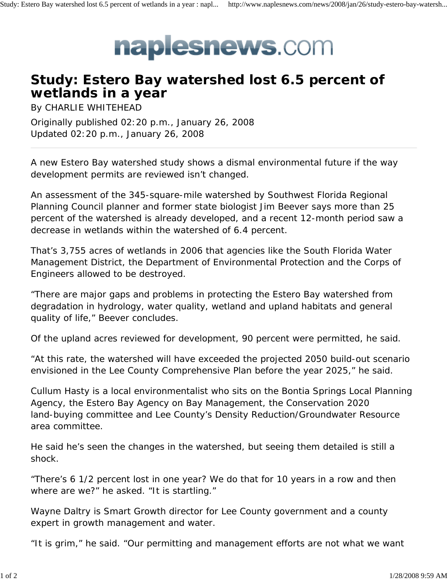

## **Study: Estero Bay watershed lost 6.5 percent of wetlands in a year**

By CHARLIE WHITEHEAD Originally published 02:20 p.m., January 26, 2008 Updated 02:20 p.m., January 26, 2008

A new Estero Bay watershed study shows a dismal environmental future if the way development permits are reviewed isn't changed.

An assessment of the 345-square-mile watershed by Southwest Florida Regional Planning Council planner and former state biologist Jim Beever says more than 25 percent of the watershed is already developed, and a recent 12-month period saw a decrease in wetlands within the watershed of 6.4 percent.

That's 3,755 acres of wetlands in 2006 that agencies like the South Florida Water Management District, the Department of Environmental Protection and the Corps of Engineers allowed to be destroyed.

"There are major gaps and problems in protecting the Estero Bay watershed from degradation in hydrology, water quality, wetland and upland habitats and general quality of life," Beever concludes.

Of the upland acres reviewed for development, 90 percent were permitted, he said.

"At this rate, the watershed will have exceeded the projected 2050 build-out scenario envisioned in the Lee County Comprehensive Plan before the year 2025," he said.

Cullum Hasty is a local environmentalist who sits on the Bontia Springs Local Planning Agency, the Estero Bay Agency on Bay Management, the Conservation 2020 land-buying committee and Lee County's Density Reduction/Groundwater Resource area committee.

He said he's seen the changes in the watershed, but seeing them detailed is still a shock.

"There's 6 1/2 percent lost in one year? We do that for 10 years in a row and then where are we?" he asked. "It is startling."

Wayne Daltry is Smart Growth director for Lee County government and a county expert in growth management and water.

"It is grim," he said. "Our permitting and management efforts are not what we want